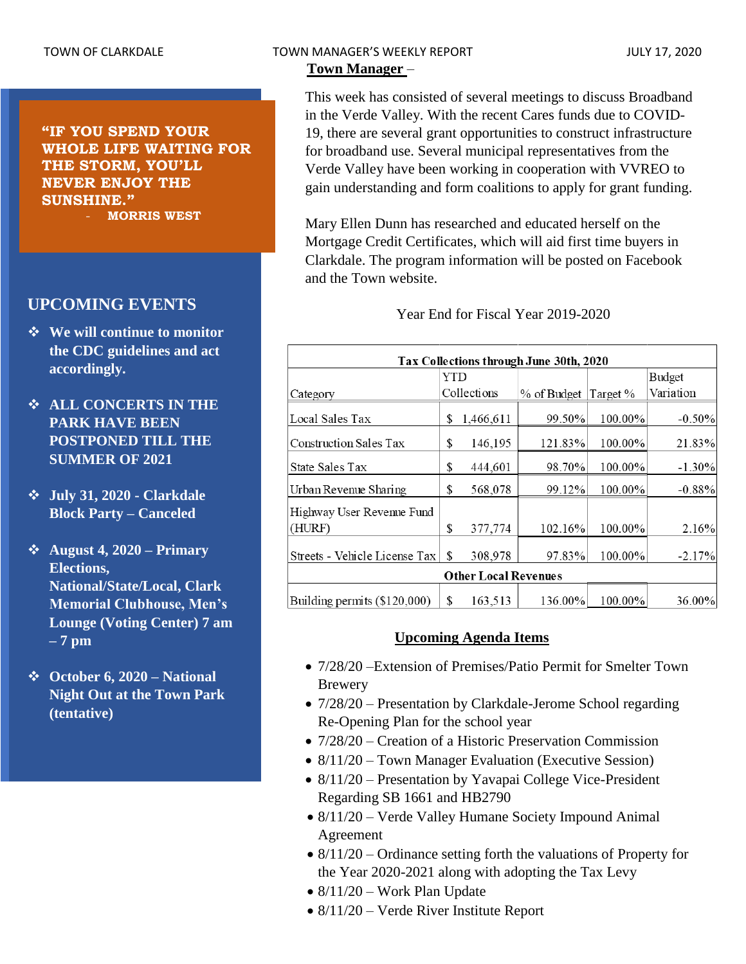**"IF YOU SPEND YOUR WHOLE LIFE WAITING FOR THE STORM, YOU'LL NEVER ENJOY THE SUNSHINE."** - **MORRIS WEST**

# **UPCOMING EVENTS**

- ❖ **We will continue to monitor the CDC guidelines and act accordingly.**
- ❖ **ALL CONCERTS IN THE PARK HAVE BEEN POSTPONED TILL THE SUMMER OF 2021**
- ❖ **July 31, 2020 - Clarkdale Block Party – Canceled**
- ❖ **August 4, 2020 – Primary Elections, National/State/Local, Clark Memorial Clubhouse, Men's Lounge (Voting Center) 7 am – 7 pm**
- ❖ **October 6, 2020 – National Night Out at the Town Park (tentative)**

**Town Manager** –

This week has consisted of several meetings to discuss Broadband in the Verde Valley. With the recent Cares funds due to COVID-19, there are several grant opportunities to construct infrastructure for broadband use. Several municipal representatives from the Verde Valley have been working in cooperation with VVREO to gain understanding and form coalitions to apply for grant funding.

Mary Ellen Dunn has researched and educated herself on the Mortgage Credit Certificates, which will aid first time buyers in Clarkdale. The program information will be posted on Facebook and the Town website.

Year End for Fiscal Year 2019-2020

| Tax Collections through June 30th, 2020 |     |             |             |          |               |  |  |  |  |
|-----------------------------------------|-----|-------------|-------------|----------|---------------|--|--|--|--|
|                                         | YTD |             |             |          | <b>Budget</b> |  |  |  |  |
| Category                                |     | Collections | % of Budget | Target % | Variation     |  |  |  |  |
| Local Sales Tax                         | \$  | 1,466,611   | 99.50%      | 100.00%  | $-0.50%$      |  |  |  |  |
| <b>Construction Sales Tax</b>           | \$  | 146,195     | 121.83%     | 100.00%  | 21.83%        |  |  |  |  |
| State Sales Tax                         | \$  | 444,601     | 98.70%      | 100.00%  | $-1.30\%$     |  |  |  |  |
| Urban Revenue Sharing                   | S   | 568,078     | 99.12%      | 100.00%  | $-0.88%$      |  |  |  |  |
| Highway User Revenue Fund               |     |             |             |          |               |  |  |  |  |
| (HURF)                                  | \$  | 377,774     | 102.16%     | 100.00%  | 2.16%         |  |  |  |  |
| Streets - Vehicle License Tax           | S   | 308,978     | 97.83%      | 100.00%  | $-2.17%$      |  |  |  |  |
| <b>Other Local Revenues</b>             |     |             |             |          |               |  |  |  |  |
| Building permits (\$120,000)            | \$  | 163,513     | 136.00%     | 100.00%  | 36.00%        |  |  |  |  |

## **Upcoming Agenda Items**

- 7/28/20 Extension of Premises/Patio Permit for Smelter Town Brewery
- $7/28/20$  Presentation by Clarkdale-Jerome School regarding Re-Opening Plan for the school year
- 7/28/20 Creation of a Historic Preservation Commission
- 8/11/20 Town Manager Evaluation (Executive Session)
- 8/11/20 Presentation by Yavapai College Vice-President Regarding SB 1661 and HB2790
- 8/11/20 Verde Valley Humane Society Impound Animal Agreement
- $8/11/20$  Ordinance setting forth the valuations of Property for the Year 2020-2021 along with adopting the Tax Levy
- 8/11/20 Work Plan Update
- 8/11/20 Verde River Institute Report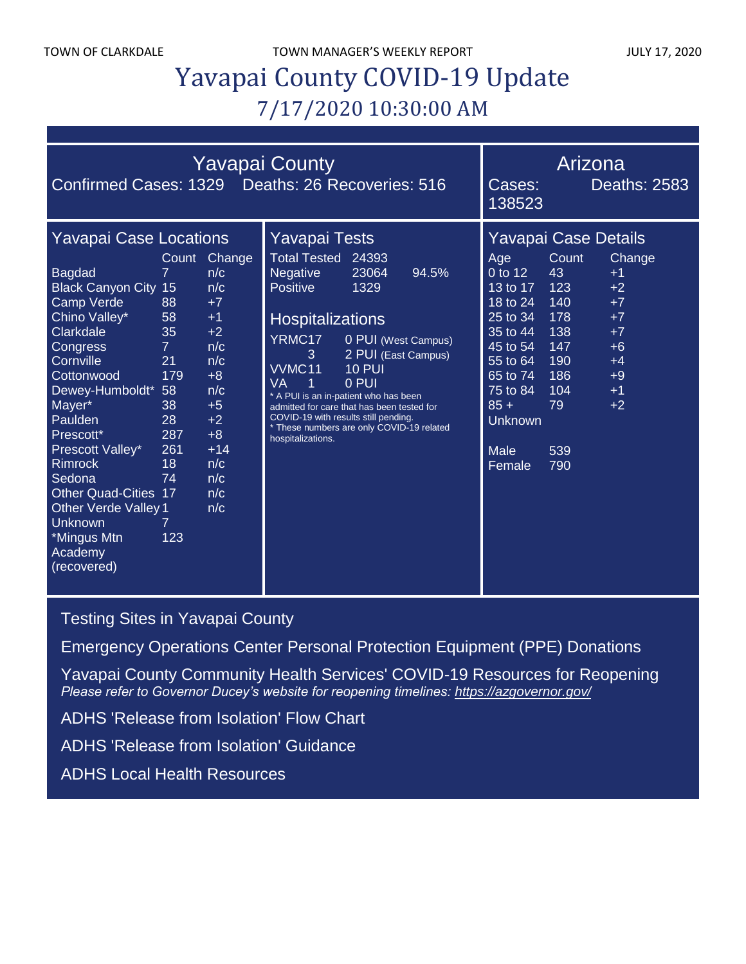TOWN OF CLARKDALE TOWN MANAGER'S WEEKLY REPORT TOWN OF CLARKDALE

# Yavapai County COVID-19 Update 7/17/2020 10:30:00 AM

| <b>Yavapai County</b><br>Confirmed Cases: 1329 Deaths: 26 Recoveries: 516                                                                                                                                                                                                                                                                                                                             |                                                                                                                              |                                                                                                                                        |                                                                                                                                                                                                                                                                                                                                                                                                                                                       |                                                                                                                                                                           | Arizona<br>138523                                                                                                      | Deaths: 2583                                                                           |
|-------------------------------------------------------------------------------------------------------------------------------------------------------------------------------------------------------------------------------------------------------------------------------------------------------------------------------------------------------------------------------------------------------|------------------------------------------------------------------------------------------------------------------------------|----------------------------------------------------------------------------------------------------------------------------------------|-------------------------------------------------------------------------------------------------------------------------------------------------------------------------------------------------------------------------------------------------------------------------------------------------------------------------------------------------------------------------------------------------------------------------------------------------------|---------------------------------------------------------------------------------------------------------------------------------------------------------------------------|------------------------------------------------------------------------------------------------------------------------|----------------------------------------------------------------------------------------|
| <b>Yavapai Case Locations</b><br><b>Bagdad</b><br><b>Black Canyon City 15</b><br><b>Camp Verde</b><br>Chino Valley*<br>Clarkdale<br>Congress<br>Cornville<br>Cottonwood<br>Dewey-Humboldt*<br>Mayer*<br>Paulden<br>Prescott*<br>Prescott Valley*<br><b>Rimrock</b><br>Sedona<br><b>Other Quad-Cities 17</b><br><b>Other Verde Valley 1</b><br><b>Unknown</b><br>*Mingus Mtn<br>Academy<br>(recovered) | Count<br>$\overline{7}$<br>88<br>58<br>35<br>$\overline{7}$<br>21<br>179<br>-58<br>38<br>28<br>287<br>261<br>18<br>74<br>123 | Change<br>n/c<br>n/c<br>$+7$<br>$+1$<br>$+2$<br>n/c<br>n/c<br>$+8$<br>n/c<br>$+5$<br>$+2$<br>$+8$<br>$+14$<br>n/c<br>n/c<br>n/c<br>n/c | Yavapai Tests<br><b>Total Tested</b><br>24393<br><b>Negative</b><br>23064<br>94.5%<br><b>Positive</b><br>1329<br><b>Hospitalizations</b><br>YRMC17<br>0 PUI (West Campus)<br>3<br>2 PUI (East Campus)<br>VVMC11<br><b>10 PUI</b><br>0 PUI<br>VA<br>1<br>* A PUI is an in-patient who has been<br>admitted for care that has been tested for<br>COVID-19 with results still pending.<br>* These numbers are only COVID-19 related<br>hospitalizations. | Age<br>0 to 12<br>13 to $17$<br>18 to 24<br>$25$ to $34$<br>35 to 44<br>45 to 54<br>55 to 64<br>65 to 74<br>75 to 84<br>$85 +$<br><b>Unknown</b><br><b>Male</b><br>Female | <b>Yavapai Case Details</b><br>Count<br>43<br>123<br>140<br>178<br>138<br>147<br>190<br>186<br>104<br>79<br>539<br>790 | Change<br>$+1$<br>$+2$<br>$+7$<br>$+7$<br>$+7$<br>$+6$<br>$+4$<br>$+9$<br>$+1$<br>$+2$ |

[Testing Sites in Yavapai County](https://www.yavapai.us/Portals/39/COVID-19/TestingSitesinYavapaiCounty.pdf)

[Emergency Operations Center Personal Protection Equipment \(PPE\) Donations](http://www.yavapai.us/Portals/39/PPE%20Donations.pdf)

[Yavapai County Community Health Services' COVID-19 Resources for Reopening](https://www.yavapai.us/chs/COVID-19) *Please refer to Governor Ducey's website for reopening timelines: <https://azgovernor.gov/>*

[ADHS 'Release from Isolation' Flow Chart](https://www.azdhs.gov/documents/preparedness/epidemiology-disease-control/infectious-disease-epidemiology/novel-coronavirus/local-health-resources/release-from-isolation-flow-chart.pdf)

[ADHS 'Release from Isolation' Guidance](https://www.azdhs.gov/documents/preparedness/epidemiology-disease-control/infectious-disease-epidemiology/novel-coronavirus/public-resources/release-from-isolation.pdf)

[ADHS Local Health Resources](https://www.azdhs.gov/preparedness/epidemiology-disease-control/infectious-disease-epidemiology/index.php#novel-coronavirus-local-health-resources)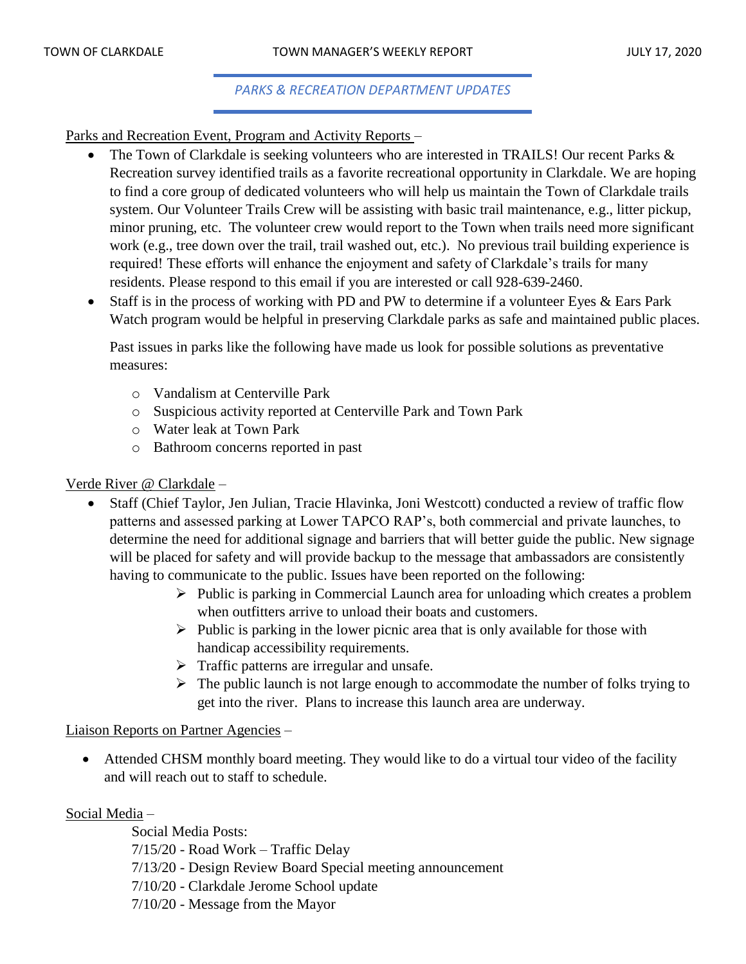#### *PARKS & RECREATION DEPARTMENT UPDATES*

Parks and Recreation Event, Program and Activity Reports –

- The Town of Clarkdale is seeking volunteers who are interested in TRAILS! Our recent Parks & Recreation survey identified trails as a favorite recreational opportunity in Clarkdale. We are hoping to find a core group of dedicated volunteers who will help us maintain the Town of Clarkdale trails system. Our Volunteer Trails Crew will be assisting with basic trail maintenance, e.g., litter pickup, minor pruning, etc. The volunteer crew would report to the Town when trails need more significant work (e.g., tree down over the trail, trail washed out, etc.). No previous trail building experience is required! These efforts will enhance the enjoyment and safety of Clarkdale's trails for many residents. Please respond to this email if you are interested or call 928-639-2460.
- Staff is in the process of working with PD and PW to determine if a volunteer Eyes & Ears Park Watch program would be helpful in preserving Clarkdale parks as safe and maintained public places.

Past issues in parks like the following have made us look for possible solutions as preventative measures:

- o Vandalism at Centerville Park
- o Suspicious activity reported at Centerville Park and Town Park
- o Water leak at Town Park
- o Bathroom concerns reported in past

## Verde River @ Clarkdale –

- Staff (Chief Taylor, Jen Julian, Tracie Hlavinka, Joni Westcott) conducted a review of traffic flow patterns and assessed parking at Lower TAPCO RAP's, both commercial and private launches, to determine the need for additional signage and barriers that will better guide the public. New signage will be placed for safety and will provide backup to the message that ambassadors are consistently having to communicate to the public. Issues have been reported on the following:
	- ➢ Public is parking in Commercial Launch area for unloading which creates a problem when outfitters arrive to unload their boats and customers.
	- $\triangleright$  Public is parking in the lower picnic area that is only available for those with handicap accessibility requirements.
	- $\triangleright$  Traffic patterns are irregular and unsafe.
	- $\triangleright$  The public launch is not large enough to accommodate the number of folks trying to get into the river. Plans to increase this launch area are underway.

## Liaison Reports on Partner Agencies –

• Attended CHSM monthly board meeting. They would like to do a virtual tour video of the facility and will reach out to staff to schedule.

## Social Media –

Social Media Posts: 7/15/20 - Road Work – Traffic Delay 7/13/20 - Design Review Board Special meeting announcement 7/10/20 - Clarkdale Jerome School update 7/10/20 - Message from the Mayor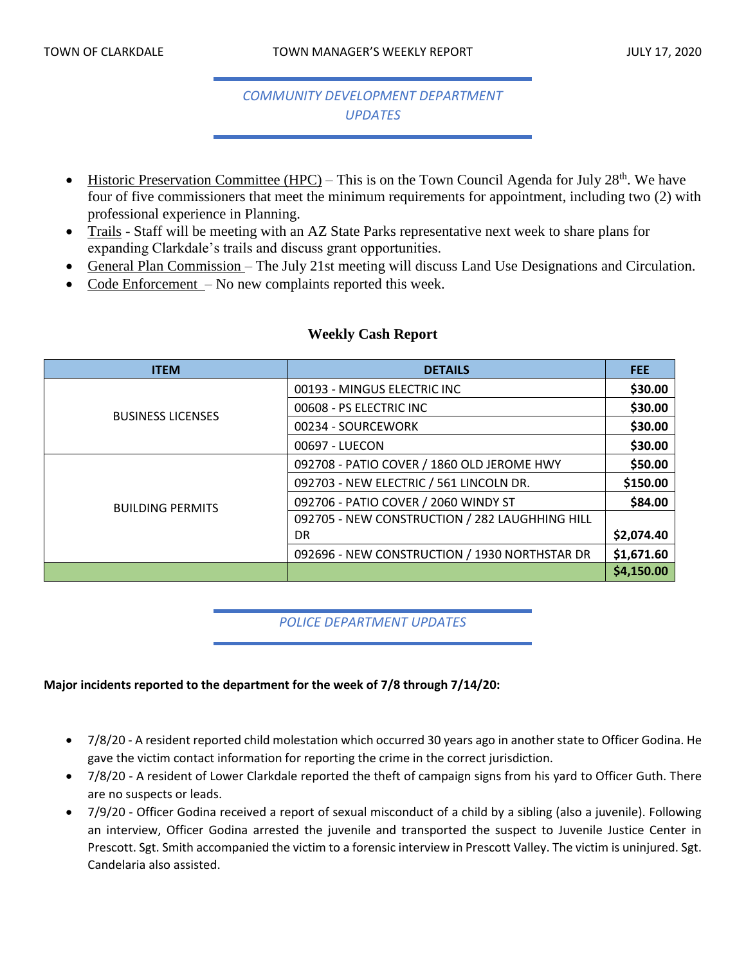# *COMMUNITY DEVELOPMENT DEPARTMENT UPDATES*

- Historic Preservation Committee (HPC) This is on the Town Council Agenda for July  $28^{th}$ . We have four of five commissioners that meet the minimum requirements for appointment, including two (2) with professional experience in Planning.
- Trails Staff will be meeting with an AZ State Parks representative next week to share plans for expanding Clarkdale's trails and discuss grant opportunities.
- General Plan Commission The July 21st meeting will discuss Land Use Designations and Circulation.
- Code Enforcement No new complaints reported this week.

| <b>ITEM</b>              | <b>DETAILS</b>                                 | <b>FEE</b> |
|--------------------------|------------------------------------------------|------------|
| <b>BUSINESS LICENSES</b> | 00193 - MINGUS ELECTRIC INC                    | \$30.00    |
|                          | 00608 - PS ELECTRIC INC                        | \$30.00    |
|                          | 00234 - SOURCEWORK                             | \$30.00    |
|                          | 00697 - LUECON                                 | \$30.00    |
| <b>BUILDING PERMITS</b>  | 092708 - PATIO COVER / 1860 OLD JEROME HWY     | \$50.00    |
|                          | 092703 - NEW ELECTRIC / 561 LINCOLN DR.        | \$150.00   |
|                          | 092706 - PATIO COVER / 2060 WINDY ST           | \$84.00    |
|                          | 092705 - NEW CONSTRUCTION / 282 LAUGHHING HILL |            |
|                          | DR                                             | \$2,074.40 |
|                          | 092696 - NEW CONSTRUCTION / 1930 NORTHSTAR DR  | \$1,671.60 |
|                          |                                                | \$4,150.00 |

## **Weekly Cash Report**

## *POLICE DEPARTMENT UPDATES*

#### **Major incidents reported to the department for the week of 7/8 through 7/14/20:**

- 7/8/20 A resident reported child molestation which occurred 30 years ago in another state to Officer Godina. He gave the victim contact information for reporting the crime in the correct jurisdiction.
- 7/8/20 A resident of Lower Clarkdale reported the theft of campaign signs from his yard to Officer Guth. There are no suspects or leads.
- 7/9/20 Officer Godina received a report of sexual misconduct of a child by a sibling (also a juvenile). Following an interview, Officer Godina arrested the juvenile and transported the suspect to Juvenile Justice Center in Prescott. Sgt. Smith accompanied the victim to a forensic interview in Prescott Valley. The victim is uninjured. Sgt. Candelaria also assisted.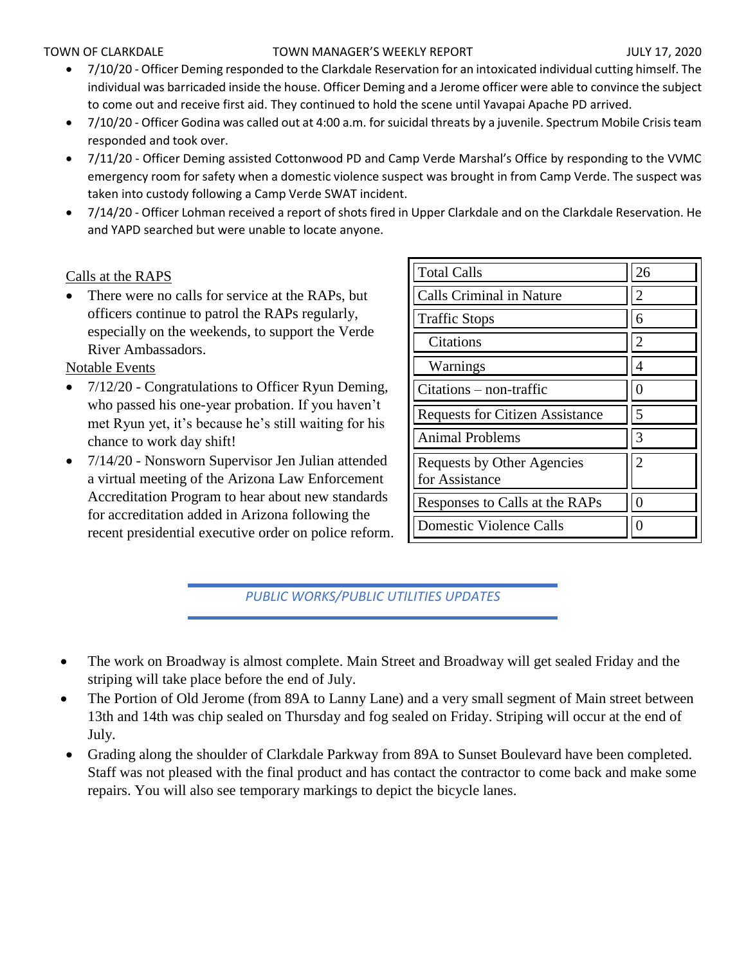#### TOWN OF CLARKDALE TOWN MANAGER'S WEEKLY REPORT TOWN OF CLARKDALE

- 7/10/20 Officer Deming responded to the Clarkdale Reservation for an intoxicated individual cutting himself. The individual was barricaded inside the house. Officer Deming and a Jerome officer were able to convince the subject to come out and receive first aid. They continued to hold the scene until Yavapai Apache PD arrived.
- 7/10/20 Officer Godina was called out at 4:00 a.m. for suicidal threats by a juvenile. Spectrum Mobile Crisis team responded and took over.
- 7/11/20 Officer Deming assisted Cottonwood PD and Camp Verde Marshal's Office by responding to the VVMC emergency room for safety when a domestic violence suspect was brought in from Camp Verde. The suspect was taken into custody following a Camp Verde SWAT incident.
- 7/14/20 Officer Lohman received a report of shots fired in Upper Clarkdale and on the Clarkdale Reservation. He and YAPD searched but were unable to locate anyone.

## Calls at the RAPS

There were no calls for service at the RAPs, but officers continue to patrol the RAPs regularly, especially on the weekends, to support the Verde River Ambassadors.

Notable Events

- 7/12/20 Congratulations to Officer Ryun Deming, who passed his one-year probation. If you haven't met Ryun yet, it's because he's still waiting for his chance to work day shift!
- 7/14/20 Nonsworn Supervisor Jen Julian attended a virtual meeting of the Arizona Law Enforcement Accreditation Program to hear about new standards for accreditation added in Arizona following the recent presidential executive order on police reform.

| <b>Total Calls</b>                           | 26 |
|----------------------------------------------|----|
| <b>Calls Criminal in Nature</b>              | 2  |
| <b>Traffic Stops</b>                         | 6  |
| Citations                                    | 2  |
| Warnings                                     |    |
| $Citations - non-traffic$                    |    |
| <b>Requests for Citizen Assistance</b>       | 5  |
| <b>Animal Problems</b>                       | 3  |
| Requests by Other Agencies<br>for Assistance | 2  |
| Responses to Calls at the RAPs               |    |
| <b>Domestic Violence Calls</b>               |    |

*PUBLIC WORKS/PUBLIC UTILITIES UPDATES*

- The work on Broadway is almost complete. Main Street and Broadway will get sealed Friday and the striping will take place before the end of July.
- The Portion of Old Jerome (from 89A to Lanny Lane) and a very small segment of Main street between 13th and 14th was chip sealed on Thursday and fog sealed on Friday. Striping will occur at the end of July.
- Grading along the shoulder of Clarkdale Parkway from 89A to Sunset Boulevard have been completed. Staff was not pleased with the final product and has contact the contractor to come back and make some repairs. You will also see temporary markings to depict the bicycle lanes.